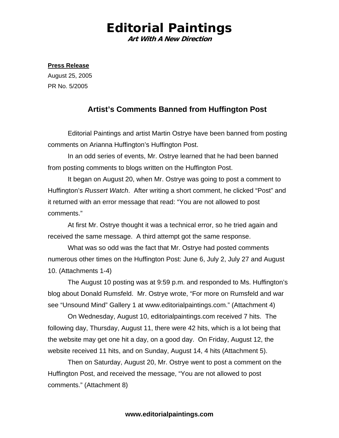# *Editorial Paintings*

**Art With A New Direction**

## **Press Release**

August 25, 2005 PR No. 5/2005

# **Artist's Comments Banned from Huffington Post**

 Editorial Paintings and artist Martin Ostrye have been banned from posting comments on Arianna Huffington's Huffington Post.

 In an odd series of events, Mr. Ostrye learned that he had been banned from posting comments to blogs written on the Huffington Post.

 It began on August 20, when Mr. Ostrye was going to post a comment to Huffington's *Russert Watch*. After writing a short comment, he clicked "Post" and it returned with an error message that read: "You are not allowed to post comments."

 At first Mr. Ostrye thought it was a technical error, so he tried again and received the same message. A third attempt got the same response.

 What was so odd was the fact that Mr. Ostrye had posted comments numerous other times on the Huffington Post: June 6, July 2, July 27 and August 10. (Attachments 1-4)

 The August 10 posting was at 9:59 p.m. and responded to Ms. Huffington's blog about Donald Rumsfeld. Mr. Ostrye wrote, "For more on Rumsfeld and war see "Unsound Mind" Gallery 1 at [www.editorialpaintings.com.](http://www.editorialpaintings.com/)" (Attachment 4)

 On Wednesday, August 10, editorialpaintings.com received 7 hits. The following day, Thursday, August 11, there were 42 hits, which is a lot being that the website may get one hit a day, on a good day. On Friday, August 12, the website received 11 hits, and on Sunday, August 14, 4 hits (Attachment 5).

 Then on Saturday, August 20, Mr. Ostrye went to post a comment on the Huffington Post, and received the message, "You are not allowed to post comments." (Attachment 8)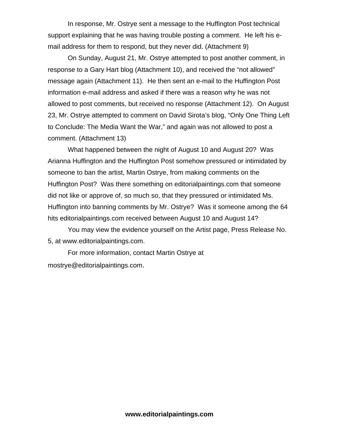In response, Mr. Ostrye sent a message to the Huffington Post technical support explaining that he was having trouble posting a comment. He left his email address for them to respond, but they never did. (Attachment 9)

 On Sunday, August 21, Mr. Ostrye attempted to post another comment, in response to a Gary Hart blog (Attachment 10), and received the "not allowed" message again (Attachment 11). He then sent an e-mail to the Huffington Post information e-mail address and asked if there was a reason why he was not allowed to post comments, but received no response (Attachment 12). On August 23, Mr. Ostrye attempted to comment on David Sirota's blog, "Only One Thing Left to Conclude: The Media Want the War," and again was not allowed to post a comment. (Attachment 13)

 What happened between the night of August 10 and August 20? Was Arianna Huffington and the Huffington Post somehow pressured or intimidated by someone to ban the artist, Martin Ostrye, from making comments on the Huffington Post? Was there something on editorialpaintings.com that someone did not like or approve of, so much so, that they pressured or intimidated Ms. Huffington into banning comments by Mr. Ostrye? Was it someone among the 64 hits editorialpaintings.com received between August 10 and August 14?

 You may view the evidence yourself on the Artist page, Press Release No. 5, at [www.editorialpaintings.com](http://www.editorialpaintings.com/).

For more information, contact Martin Ostrye at mostrye@editorialpaintings.com.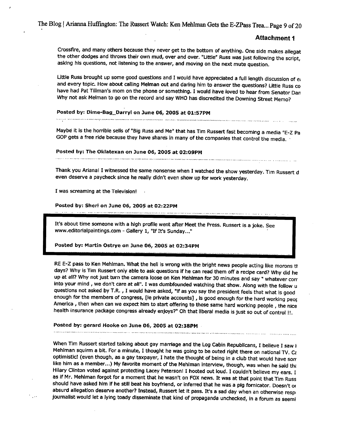Crossfire, and many others because they never get to the bottom of anything. One side makes allegat the other dodges and throws their own mud, over and over. "Little" Russ was just following the script, asking his questions, not listening to the answer, and moving on the next mute question.

Little Russ brought up some good questions and I would have appreciated a full length discussion of ea and every topic. How about calling Melman out and daring him to answer the questions? Little Russ co have had Pat Tillman's mom on the phone or something. I would have loved to hear from Senator Dan Why not ask Melman to go on the record and say WHO has discredited the Downing Street Memo?

#### Posted by: Dime-Bag\_Darryl on June 06, 2005 at 01:57PM

Maybe it is the horrible sells of "Big Russ and Me" that has Tim Russert fast becoming a media "E-Z Pa GOP gets a free ride because they have shares in many of the companies that control the media.

h a con international any any any manufactural antique exploration subsidial communities programmed and an environment and any experimental services of the contract of the contract of the contract of the contract of the co

#### Posted by: The Oklatexan on June 06, 2005 at 02:09PM

Thank you Ariana! I witnessed the same nonsense when I watched the show yesterday. Tim Russert d even deserve a paycheck since he really didn't even show up for work yesterday.

ransi terkebutkan bandan sang berbat tahun bantan saat han bantan bandan basis berkam bandan bandan bandan bandan bandan dari terkebut terkebut dari terkebut dan banda dan banda dan banda dan banda dan banda dan banda

I was screaming at the Television!

tiya.

Posted by: Sheri on June 06, 2005 at 02:22PM

It's about time someone with a high profile went after Meet the Press. Russert is a joke. See www.editorialpaintings.com - Gallery 1, "If It's Sunday..."

Posted by: Martin Ostrye on June 06, 2005 at 02:34PM

RE E-Z pass to Ken Mehlman. What the hell is wrong with the bright news people acting like morons th days? Why is Tim Russert only able to ask questions if he can read them off a recipe card? Why did he up at all? Why not just turn the camera loose on Ken Mehiman for 30 minutes and say " whatever com into your mind, we don't care at all". I was dumbfounded watching that show. Along with the follow u questions not asked by T.R., I would have asked, "if as you say the president feels that what is good enough for the members of congress, [le private accounts], is good enough for the hard working peop America, then when can we expect him to start offering to those same hard working people, the nice health insurance package congress already enjoys?" Oh that liberal media is just so out of control !!.

Posted by: gerard Hooke on June 06, 2005 at 02:38PM

When Tim Russert started talking about gay marriage and the Log Cabin Republicans, I believe I saw I Mehiman squirm a bit. For a minute, I thought he was going to be outed right there on national TV. C $\varepsilon$ optimistic! (even though, as a gay taxpayer, I hate the thought of being in a club that would have son like him as a member...) My favorite moment of the Mehlman interview, though, was when he said tha Hilary Clinton voted against protecting Lacey Peterson! I hooted out loud. I couldn't believe my ears. I as if Mr. Mehlman forgot for a moment that he wasn't on FOX news. It was at that point that Tim Russ should have asked him if he still beat his boyfriend, or inferred that he was a pig fornicator. Doesn't or absurd allegation deserve another? Instead, Russert let it pass. It's a sad day when an otherwise respi journalist would let a lying toady disseminate that kind of propaganda unchecked, in a forum as seemi

tun centrum technologiquu un un un un seu caqevu a a crisadu cha urian quebe di Celuli en crisadu centru (Celuli ex - chice) (Celeuli)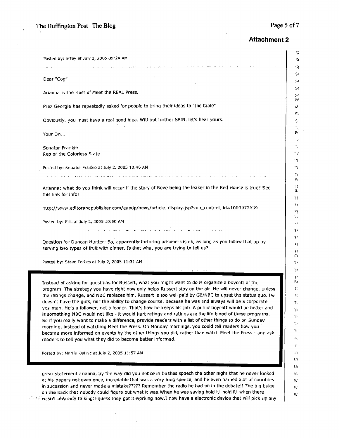$\hat{\mathcal{A}}$ 

 $\sim$ 

 $\omega_{\rm V}$ 

ł

# **Attachment 2**

| Posted by: artey at July 2, 2005 09:24 AM                                                                                                                                                                                                                                                                                                                                                                                                                                                                                                                                                                                                                                                                                                                                                                                                                                                                                                                                                                                                                |  |
|----------------------------------------------------------------------------------------------------------------------------------------------------------------------------------------------------------------------------------------------------------------------------------------------------------------------------------------------------------------------------------------------------------------------------------------------------------------------------------------------------------------------------------------------------------------------------------------------------------------------------------------------------------------------------------------------------------------------------------------------------------------------------------------------------------------------------------------------------------------------------------------------------------------------------------------------------------------------------------------------------------------------------------------------------------|--|
|                                                                                                                                                                                                                                                                                                                                                                                                                                                                                                                                                                                                                                                                                                                                                                                                                                                                                                                                                                                                                                                          |  |
| Dear "Cog"                                                                                                                                                                                                                                                                                                                                                                                                                                                                                                                                                                                                                                                                                                                                                                                                                                                                                                                                                                                                                                               |  |
|                                                                                                                                                                                                                                                                                                                                                                                                                                                                                                                                                                                                                                                                                                                                                                                                                                                                                                                                                                                                                                                          |  |
| Arianna is the Host of Meet the REAL Press.                                                                                                                                                                                                                                                                                                                                                                                                                                                                                                                                                                                                                                                                                                                                                                                                                                                                                                                                                                                                              |  |
| Prez Georgie has repeatedly asked for people to bring their ideas to "the table"                                                                                                                                                                                                                                                                                                                                                                                                                                                                                                                                                                                                                                                                                                                                                                                                                                                                                                                                                                         |  |
| Obviously, you must have a real good idea. Without further SPIN, let's hear yours.                                                                                                                                                                                                                                                                                                                                                                                                                                                                                                                                                                                                                                                                                                                                                                                                                                                                                                                                                                       |  |
| Your On                                                                                                                                                                                                                                                                                                                                                                                                                                                                                                                                                                                                                                                                                                                                                                                                                                                                                                                                                                                                                                                  |  |
| Senator Frankie                                                                                                                                                                                                                                                                                                                                                                                                                                                                                                                                                                                                                                                                                                                                                                                                                                                                                                                                                                                                                                          |  |
| Rep of the Colorless State                                                                                                                                                                                                                                                                                                                                                                                                                                                                                                                                                                                                                                                                                                                                                                                                                                                                                                                                                                                                                               |  |
| Posted by: Senator Frankie at July 2, 2005 10:40 AM                                                                                                                                                                                                                                                                                                                                                                                                                                                                                                                                                                                                                                                                                                                                                                                                                                                                                                                                                                                                      |  |
|                                                                                                                                                                                                                                                                                                                                                                                                                                                                                                                                                                                                                                                                                                                                                                                                                                                                                                                                                                                                                                                          |  |
| Arianna: what do you think will occur if the story of Rove being the leaker in the Red House is true? See<br>this link for info!                                                                                                                                                                                                                                                                                                                                                                                                                                                                                                                                                                                                                                                                                                                                                                                                                                                                                                                         |  |
| http://www.editorandpublisher.com/eandp/news/article_display.jsp?vnu_content_id=1000972639                                                                                                                                                                                                                                                                                                                                                                                                                                                                                                                                                                                                                                                                                                                                                                                                                                                                                                                                                               |  |
| Posted by: Eric at July 2, 2005 10:50 AM                                                                                                                                                                                                                                                                                                                                                                                                                                                                                                                                                                                                                                                                                                                                                                                                                                                                                                                                                                                                                 |  |
|                                                                                                                                                                                                                                                                                                                                                                                                                                                                                                                                                                                                                                                                                                                                                                                                                                                                                                                                                                                                                                                          |  |
| Question for Duncan Hunter: So, apparently torturing prisoners is ok, as long as you follow that up by<br>serving two types of fruit with dinner. Is that what you are trying to tell us?                                                                                                                                                                                                                                                                                                                                                                                                                                                                                                                                                                                                                                                                                                                                                                                                                                                                |  |
| Posted by: Steve Forbes at July 2, 2005 11:31 AM                                                                                                                                                                                                                                                                                                                                                                                                                                                                                                                                                                                                                                                                                                                                                                                                                                                                                                                                                                                                         |  |
|                                                                                                                                                                                                                                                                                                                                                                                                                                                                                                                                                                                                                                                                                                                                                                                                                                                                                                                                                                                                                                                          |  |
|                                                                                                                                                                                                                                                                                                                                                                                                                                                                                                                                                                                                                                                                                                                                                                                                                                                                                                                                                                                                                                                          |  |
| Instead of asking for questions for Russert, what you might want to do is organize a boycott of the<br>program. The strategy you have right now only helps Russert stay on the air. He will never change, unless<br>the ratings change, and NBC replaces him. Russert is too well paid by GE/NBC to upset the status quo. He<br>doesn't have the guts, nor the ability to change course, because he was and always will be a corporate<br>yes-man. He's a follower, not a leader. That's how he keeps his job. A public boycott would be better and<br>is something NBC would not like - it would hurt ratings and ratings are the life blood of these programs.<br>So if you really want to make a difference, provide readers with a list of other things to do on Sunday<br>morning, instead of watching Meet the Press. On Monday mornings, you could tell readers how you<br>became more informed on events by the other things you did, rather than watch Meet the Press - and ask<br>readers to tell you what they did to become better informed. |  |
| Posted by: Martin Ostrye at July 2, 2005 11:57 AM                                                                                                                                                                                                                                                                                                                                                                                                                                                                                                                                                                                                                                                                                                                                                                                                                                                                                                                                                                                                        |  |
|                                                                                                                                                                                                                                                                                                                                                                                                                                                                                                                                                                                                                                                                                                                                                                                                                                                                                                                                                                                                                                                          |  |
| great statement ananna, by the way did you notice in bushes speech the other night that he never looked                                                                                                                                                                                                                                                                                                                                                                                                                                                                                                                                                                                                                                                                                                                                                                                                                                                                                                                                                  |  |
| at his papers not even once, incredable that was a very long speech, and he even named alot of countries<br>in sucession and never made a mistake????? Remember the radio he had on in the debate!! The big bulge                                                                                                                                                                                                                                                                                                                                                                                                                                                                                                                                                                                                                                                                                                                                                                                                                                        |  |

on the back that nobody could fiqure out what it was. When he was saying hold it! hold it! when there singly wasn't ahybody talking: Equess they got it working now. I now have a electronic device that will pick up any

 $\sim$ 

 $\sim$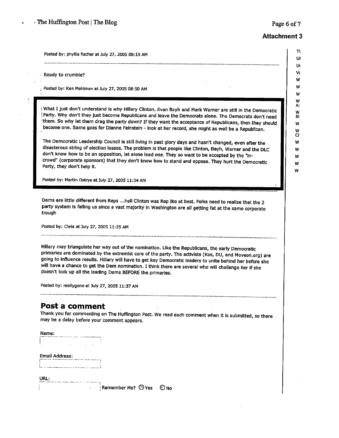$\tilde{\bullet}$ 

# **Attachment 3**

|        | Ready to crumble?                                                                                                                                                                                                                                                                                                                                                                                                                                                                                 |
|--------|---------------------------------------------------------------------------------------------------------------------------------------------------------------------------------------------------------------------------------------------------------------------------------------------------------------------------------------------------------------------------------------------------------------------------------------------------------------------------------------------------|
|        | Posted by: Ken Mehlman at July 27, 2005 08:50 AM                                                                                                                                                                                                                                                                                                                                                                                                                                                  |
|        | What I just don't understand Is why Hillary Clinton, Evan Bayh and Mark Warner are still in the Democratic<br>Party. Why don't they just become Republicans and leave the Democrats alone. The Democrats don't need<br>them. So why let them drag the party down? If they want the acceptance of Republicans, then they should<br>become one. Same goes for Dianne Feinstein - look at her record, she might as well be a Republican.                                                             |
|        | The Democratic Leadership Council is still living in past glory days and hasn't changed, even after the<br>disasterous string of election losses. The problem is that people like Clinton, Bayh, Warner and the DLC<br>don't know how to be an opposition, let alone lead one. They so want to be accepted by the "in-<br>crowd" (corporate sponsors) that they don't know how to stand and oppose. They hurt the Democratic<br>Party, they don't help it.                                        |
|        | Posted by: Martin Ostrye at July 27, 2005 11:34 AM                                                                                                                                                                                                                                                                                                                                                                                                                                                |
| trough | Dems are little different from Reps hell Clinton was Rep lite at best. Folks need to realize that the 2<br>party system is falling us since a vast majority in Washington are all getting fat at the same corporate                                                                                                                                                                                                                                                                               |
|        | Posted by: Chris at July 27, 2005 11:35 AM                                                                                                                                                                                                                                                                                                                                                                                                                                                        |
|        | Hillary may triangulate her way out of the nomination. Like the Republicans, the early Democratic<br>primaries are dominated by the extremist core of the party. The activists (Kos, DU, and Moveon.org) are<br>going to influence results. Hillary will have to get key Democratic leaders to unite behind her before she<br>will have a chance to get the Dem nomination. I think there are several who will challenge her if she<br>doesn't lock up all the leading Dems BEFORE the primarles. |
|        | Posted by: reallygone at July 27, 2005 11:37 AM                                                                                                                                                                                                                                                                                                                                                                                                                                                   |
|        | Post a comment<br>Thank you for commenting on The Huffington Post. We read each comment when it is submitted, so there<br>may be a delay before your comment appears.                                                                                                                                                                                                                                                                                                                             |
| Name:  |                                                                                                                                                                                                                                                                                                                                                                                                                                                                                                   |
|        | <b>Email Address:</b>                                                                                                                                                                                                                                                                                                                                                                                                                                                                             |
| URL:   |                                                                                                                                                                                                                                                                                                                                                                                                                                                                                                   |
|        |                                                                                                                                                                                                                                                                                                                                                                                                                                                                                                   |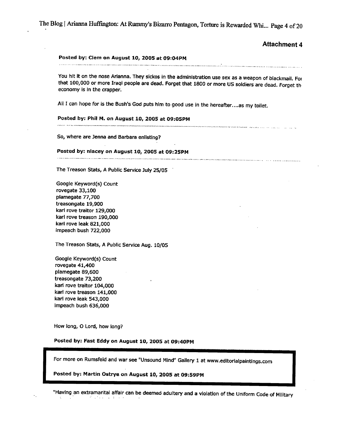The Blog | Arianna Huffington: At Rummy's Bizarro Pentagon, Torture is Rewarded Whi... Page 4 of 20

### **Attachment 4**

and provided a proportion of the contract of the contract of the contract of the contract of the contract of the

# Posted by: Clem on August 10, 2005 at 09:04PM

You hit it on the nose Arianna. They sickos in the administration use sex as a weapon of blackmail. For that 100,000 or more Iraqi people are dead. Forget that 1800 or more US soldiers are dead. Forget th economy is in the crapper.

All I can hope for is the Bush's God puts him to good use in the hereafter....as my toilet.

# Posted by: Phil M. on August 10, 2005 at 09:05PM

So, where are Jenna and Barbara enlisting?

#### Posted by: nlacey on August 10, 2005 at 09:25PM

The Treason Stats, A Public Service July 25/05

Google Keyword(s) Count rovegate 33,100 plamegate 77,700 treasongate 19,900 karl rove traitor 129,000 karl rove treason 190,000 karl rove leak 821,000 impeach bush 722,000

The Treason Stats, A Public Service Aug. 10/05

Google Keyword(s) Count rovegate 41,400 plamegate 89,600 treasongate 73,200 karl rove traitor 104,000 karl rove treason 141,000 karl rove leak 543,000 Impeach bush 636,000

How long, O Lord, how long?

#### Posted by: Fast Eddy on August 10, 2005 at 09:40PM

For more on Rumsfeld and war see "Unsound Mind" Gallery 1 at www.editorialpaintings.com

#### Posted by: Martin Ostrye on August 10, 2005 at 09:59PM

"Having an extramarital affair can be deemed adultery and a violation of the Uniform Code of Military All the control of the con-**Contractor Contractor**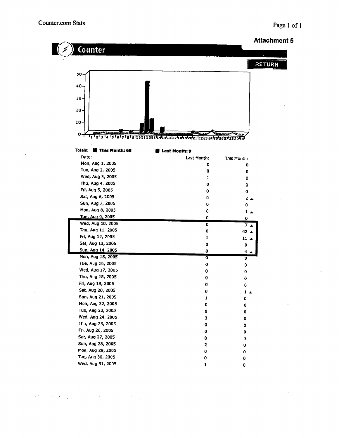$\hat{\mathcal{L}}$ 

 $\sim$ 

 $\ddot{\phantom{a}}$ 

t,

 $\mathcal{A}^{\mathcal{A}}$ 

**Attachment 5** 

| Counter                                      |                                 |                           |
|----------------------------------------------|---------------------------------|---------------------------|
|                                              |                                 |                           |
|                                              |                                 | <b>RETURN</b>             |
| 50,                                          |                                 |                           |
|                                              |                                 |                           |
| 40.                                          |                                 |                           |
| 30-                                          |                                 |                           |
|                                              |                                 |                           |
| 20                                           |                                 |                           |
| 10.                                          |                                 |                           |
|                                              |                                 |                           |
| O٠<br>$17$ $\overline{13}$ $\overline{14}$   |                                 |                           |
|                                              |                                 |                           |
| Totals:<br>$\blacksquare$ This Month: 68     | <b>Last Month: 9</b>            |                           |
| Date:                                        | Last Month:                     | This Month:               |
| Mon, Aug 1, 2005<br>Tue, Aug 2, 2005         | 0                               | 0                         |
| Wed, Aug 3, 2005                             | 0<br>1                          | 0<br>0                    |
| Thu, Aug 4, 2005                             | 0                               | O                         |
| Fri, Aug 5, 2005                             | 0                               | $\mathbf 0$               |
| Sat, Aug 6, 2005                             | 0                               | 2 <sub>A</sub>            |
| Sun, Aug 7, 2005                             | 0                               | O                         |
| Mon, Aug 8, 2005                             | 0                               | $1\,$ A                   |
| <u>Tue, Aug 9, 2005</u><br>Wed, Aug 10, 2005 | 0                               | 0                         |
| Thu, Aug 11, 2005                            | 0<br>0                          | 7 ▲<br>$42 \triangle$     |
| Fri, Aug 12, 2005                            | 1                               | $11 -$                    |
| Sat, Aug 13, 2005                            | 0                               | 0                         |
| Sun, Aug 14, 2005                            | 0                               | 4                         |
| Mon, Aug 15, 2005                            | $\overline{\mathbf{0}}$         | $\overline{\mathfrak{o}}$ |
| Tue, Aug 16, 2005                            | 0                               | 0                         |
| Wed, Aug 17, 2005<br>Thu, Aug 18, 2005       | 0                               | 0                         |
| Fri, Aug 19, 2005                            | 0<br>0                          | 0<br>0                    |
| Sat, Aug 20, 2005                            | 0                               | 1.                        |
| Sun, Aug 21, 2005                            | $\mathbf 1$                     | 0                         |
| Mon, Aug 22, 2005                            | $\pmb{\mathsf{O}}$              | 0                         |
| Tue, Aug 23, 2005                            | $\pmb{0}$                       | 0                         |
| Wed, Aug 24, 2005                            | 3                               | 0                         |
| Thu, Aug 25, 2005<br>Fri, Aug 26, 2005       | $\pmb{0}$                       | 0                         |
| Sat, Aug 27, 2005                            | $\pmb{0}$<br>$\pmb{\mathsf{O}}$ | 0                         |
| Sun, Aug 28, 2005                            | 2                               | 0<br>$\bf{0}$             |
| Mon, Aug 29, 2005                            | 0                               | 0                         |
| Tue, Aug 30, 2005                            | 0                               | 0                         |
| Wed, Aug 31, 2005                            | 1                               | 0                         |

where  $\alpha$  is a simple state  $\alpha$  ,  $\alpha$  and  $\alpha$  ,  $\alpha$  ,  $\alpha$  ,  $\alpha$  ,  $\alpha$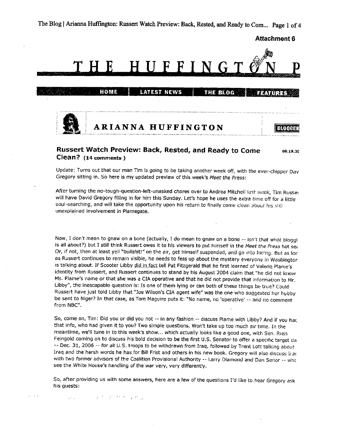

#### Russert Watch Preview: Back, Rested, and Ready to Come 08.19.20 Clean? (14 comments)

Update: Turns out that our man Tim is going to be taking another week off, with the ever-chipper Dav Gregory sitting in. So here is my updated preview of this week's Meet the Press:

After turning the no-tough-question-left-unasked chores over to Andrea Mitchell last week, Tim Russer will have David Gregory filling in for him this Sunday. Let's hope he uses the extra time off for a little soul-searching, and will take the opportunity upon his return to finally come clean about his sith unexplained involvement in Plamegate.

Now, I don't mean to gnaw on a bone (actually, I do mean to gnaw on a bone -- isn't that what bloggi is all about?) but I still think Russert owes it to his viewers to put himself in the Meet the Press hot set Or, if not, then at least yell "bullshit!" on the air, get himself suspended, and go into hiding. But as lor as Russert continues to remain visible, he needs to fess up about the mystery everyone in Washingtor is talking about. If Scooter Libby did in fact tell Pat Fitzgerald that he first learned of Valerie Plame's identity from Russert, and Russert continues to stand by his August 2004 claim that "he did not know Ms. Plame's name or that she was a CIA operative and that he did not provide that information to Mr. Libby", the inescapable question is: Is one of them lying or can both of these things be true? Could Russert have just told Libby that "Joe Wilson's CIA agent wife" was the one who suggested her hubby be sent to Niger? In that case, as Tom Maguire puts it: "No name, no 'operative' -- and no comment from NBC".

So, come on, Tim: Did you or did you not -- in any fashion -- discuss Plame with Libby? And if you hac that info, who had given it to you? Two simple questions. Won't take up too much air time. In the meantime, we'll tune in to this week's show... which actually looks like a good one, with Sen. Russ Feingold coming on to discuss his bold decision to be the first U.S. Senator to offer a specific target da -- Dec. 31, 2006 -- for all U.S. troops to be withdrawn from Iraq, followed by Trent Lott talking about Iraq and the harsh words he has for Bill Frist and others in his new book. Gregory will also discuss trad with two former advisors of the Coalition Provisional Authority -- Larry Diamond and Dan Senor -- who see the White House's handling of the war very, very differently.

So, after providing us with some answers, here are a few of the questions I'd like to hear Gregory ask his guests:

 $\mathcal{L}^{\mathcal{L}}$  , where  $\mathcal{L}^{\mathcal{L}}$  is the contribution of the  $\mathcal{L}^{\mathcal{L}}$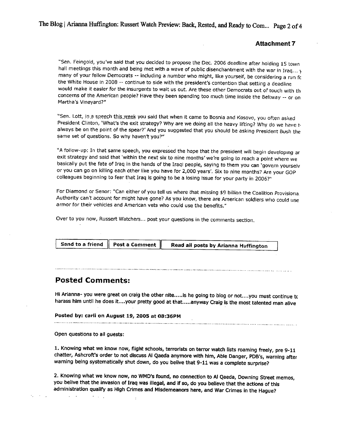"Sen. Feingold, you've said that you decided to propose the Dec. 2006 deadline after holding 15 town hall meetings this month and being met with a wave of public disenchantment with the war in Iraq... y many of your fellow Democrats -- including a number who might, like yourself, be considering a run fc the White House in 2008 -- continue to side with the president's contention that setting a deadline would make it easier for the insurgents to wait us out. Are these other Democrats out of touch with th concerns of the American people? Have they been spending too much time inside the Beltway -- or on Martha's Vineyard?"

"Sen. Lott, in a speech this week you said that when it came to Bosnia and Kosovo, you often asked President Clinton, 'What's the exit strategy? Why are we doing all the heavy lifting? Why do we have talways be on the point of the spear?' And you suggested that you should be asking President Bush the same set of questions. So why haven't you?"

"A follow-up: In that same speech, you expressed the hope that the president will begin developing ar exit strategy and said that 'within the next six to nine months' we're going to reach a point where we basically put the fate of Iraq in the hands of the Iraqi people, saying to them you can 'govern yourselv or you can go on killing each other like you have for 2,000 years'. Six to nine months? Are your GOP colleagues beginning to fear that Iraq is going to be a losing issue for your party in 2006?"

For Diamond or Senor: "Can either of you tell us where that missing \$9 billion the Coalition Provisiona. Authority can't account for might have gone? As you know, there are American soldiers who could use armor for their vehicles and American vets who could use the benefits."

Over to you now, Russert Watchers... post your questions in the comments section.

| Send to a friend $\parallel$ Post a Comment $\parallel$ |                                      |
|---------------------------------------------------------|--------------------------------------|
|                                                         | Read all posts by Arianna Huffington |

#### 

# **Posted Comments:**

Hi Arianna- you were great on craig the other nite.....is he going to blog or not....you must continue to harass him until he does it....your pretty good at that.....anyway Craig is the most talented man alive

#### Posted by: carli on August 19, 2005 at 08:36PM

Open questions to all guests:

**All Card Corp.** 

1. Knowing what we know now, flight schools, terrorists on terror watch lists roaming freely, pre 9-11 chatter, Ashcroft's order to not discuss AI Qaeda anymore with him, Able Danger, PDB's, warning after warning being systematically shut down, do you belive that 9-11 was a complete surprise?

2. Knowing what we know now, no WMD's found, no connection to AI Qaeda, Downing Street memos, you belive that the invasion of Iraq was illegal, and if so, do you believe that the actions of this administration qualify as High Crimes and Misdemeanors here, and War Crimes in the Hague?  $\mathcal{O}(\mathcal{O}(\log n))$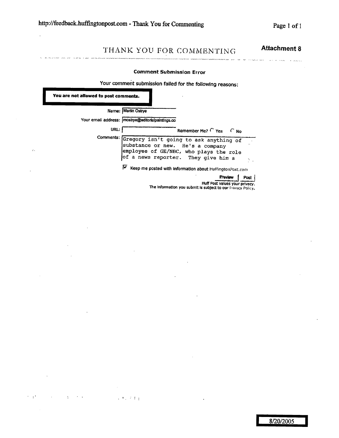# THANK YOU FOR COMMENTING

# **Attachment 8**

ananantan ngunantan satasanananan asarangan asara kata-kati (sati (sati (sati)) ang tanggay ng kali والمتعلم والمستحدث والمتعادل **Comment Submission Error** Your comment submission failed for the following reasons: You are not allowed to post comments. Name: Martin Ostrye Your email address: mostye@editorialpaintings.co URL:  $\int$ Remember Me? C Yes C No Comments: Gregory isn't going to ask anything of substance or new. He's a company<br>employee of GE/NBC, who plays the role of a news reporter. They give him a  $\mathcal{N}_{\mathrm{c}}$ Keep me posted with information about HuffingtonPost.com  $\sim$ 

Preview | Post | Huff Post values your privacy.<br>The information you submit is subject to our Privacy Policy.

#### $\sim$  11  $\sim 10^6$  $\sigma = \pm 1$ 2012年4月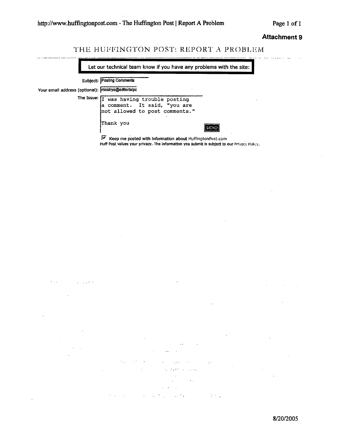THE HUFFINGTON POST: REPORT A PROBLEM

|                                                                                                                                                                                 |  | Let our technical team know if you have any problems with the site:                                                                                                                                                                                                                                                                                                                                              |                                  |
|---------------------------------------------------------------------------------------------------------------------------------------------------------------------------------|--|------------------------------------------------------------------------------------------------------------------------------------------------------------------------------------------------------------------------------------------------------------------------------------------------------------------------------------------------------------------------------------------------------------------|----------------------------------|
|                                                                                                                                                                                 |  | <b>Subject: Posting Comments</b>                                                                                                                                                                                                                                                                                                                                                                                 |                                  |
| Your email address (optional): mostrye@editorlalpa                                                                                                                              |  |                                                                                                                                                                                                                                                                                                                                                                                                                  |                                  |
|                                                                                                                                                                                 |  | The Issue: I was having trouble posting<br>a comment. It said, "you are<br>not allowed to post comments."                                                                                                                                                                                                                                                                                                        |                                  |
|                                                                                                                                                                                 |  | Thank you<br>:EN                                                                                                                                                                                                                                                                                                                                                                                                 |                                  |
|                                                                                                                                                                                 |  | Keep me posted with Information about HuffingtonPost.com<br>Huff Post values your privacy. The information you submit is subject to our Privacy Policy.                                                                                                                                                                                                                                                          |                                  |
|                                                                                                                                                                                 |  |                                                                                                                                                                                                                                                                                                                                                                                                                  |                                  |
|                                                                                                                                                                                 |  |                                                                                                                                                                                                                                                                                                                                                                                                                  |                                  |
|                                                                                                                                                                                 |  |                                                                                                                                                                                                                                                                                                                                                                                                                  |                                  |
|                                                                                                                                                                                 |  |                                                                                                                                                                                                                                                                                                                                                                                                                  |                                  |
|                                                                                                                                                                                 |  |                                                                                                                                                                                                                                                                                                                                                                                                                  |                                  |
|                                                                                                                                                                                 |  |                                                                                                                                                                                                                                                                                                                                                                                                                  |                                  |
|                                                                                                                                                                                 |  |                                                                                                                                                                                                                                                                                                                                                                                                                  |                                  |
|                                                                                                                                                                                 |  |                                                                                                                                                                                                                                                                                                                                                                                                                  |                                  |
|                                                                                                                                                                                 |  |                                                                                                                                                                                                                                                                                                                                                                                                                  |                                  |
|                                                                                                                                                                                 |  |                                                                                                                                                                                                                                                                                                                                                                                                                  |                                  |
|                                                                                                                                                                                 |  |                                                                                                                                                                                                                                                                                                                                                                                                                  |                                  |
|                                                                                                                                                                                 |  |                                                                                                                                                                                                                                                                                                                                                                                                                  |                                  |
|                                                                                                                                                                                 |  |                                                                                                                                                                                                                                                                                                                                                                                                                  |                                  |
|                                                                                                                                                                                 |  |                                                                                                                                                                                                                                                                                                                                                                                                                  |                                  |
|                                                                                                                                                                                 |  |                                                                                                                                                                                                                                                                                                                                                                                                                  |                                  |
|                                                                                                                                                                                 |  |                                                                                                                                                                                                                                                                                                                                                                                                                  |                                  |
|                                                                                                                                                                                 |  |                                                                                                                                                                                                                                                                                                                                                                                                                  |                                  |
|                                                                                                                                                                                 |  |                                                                                                                                                                                                                                                                                                                                                                                                                  |                                  |
| and the state of the state                                                                                                                                                      |  |                                                                                                                                                                                                                                                                                                                                                                                                                  |                                  |
| $\mathcal{L}_{\text{max}}$ , where $\mathcal{L}_{\text{max}}$                                                                                                                   |  | $\mathcal{L}^{\mathcal{L}}(\mathcal{L}^{\mathcal{L}})$ and the contract of the contract of the contract of the contract of the contract of the contract of the contract of the contract of the contract of the contract of the contract of the contrac                                                                                                                                                           |                                  |
| and the state of the state                                                                                                                                                      |  | $\mathcal{L}_{\text{max}}$ and $\mathcal{L}_{\text{max}}$ . The second second second $\mathcal{L}_{\text{max}}$<br>$\label{eq:2.1} \frac{1}{\left(1-\frac{1}{2}\right)}\left(\frac{1}{\sqrt{2}}\right)^2\left(\frac{1}{\sqrt{2}}\right)^2\left(\frac{1}{\sqrt{2}}\right)^2\left(\frac{1}{\sqrt{2}}\right)^2\left(\frac{1}{\sqrt{2}}\right)^2\left(\frac{1}{\sqrt{2}}\right)^2\left(\frac{1}{\sqrt{2}}\right)^2.$ |                                  |
| $\mathcal{L}(\mathcal{L}^{\mathcal{L}})$ and $\mathcal{L}(\mathcal{L}^{\mathcal{L}})$ and $\mathcal{L}(\mathcal{L}^{\mathcal{L}})$ and $\mathcal{L}(\mathcal{L}^{\mathcal{L}})$ |  |                                                                                                                                                                                                                                                                                                                                                                                                                  | and the control of the           |
|                                                                                                                                                                                 |  | $\mathcal{L}^{\mathcal{L}}$ and the set of the set of the space of the set of the set of the set of the set of the set of the set of the set of the set of the set of the set of the set of the set of the set of the set of the set of t<br>the same strip is a strip of the strip of the state of the strip of the                                                                                             |                                  |
|                                                                                                                                                                                 |  |                                                                                                                                                                                                                                                                                                                                                                                                                  | the contract of the state of the |
|                                                                                                                                                                                 |  | the control of the control of the control of                                                                                                                                                                                                                                                                                                                                                                     |                                  |
|                                                                                                                                                                                 |  | $\mathcal{A}$ , we can consider the constant of the constant of the constant of the constant of the constant of the constant of the constant of the constant of the constant of the constant of the constant of the constant of th                                                                                                                                                                               |                                  |
|                                                                                                                                                                                 |  |                                                                                                                                                                                                                                                                                                                                                                                                                  |                                  |
|                                                                                                                                                                                 |  |                                                                                                                                                                                                                                                                                                                                                                                                                  | 8/20/2005                        |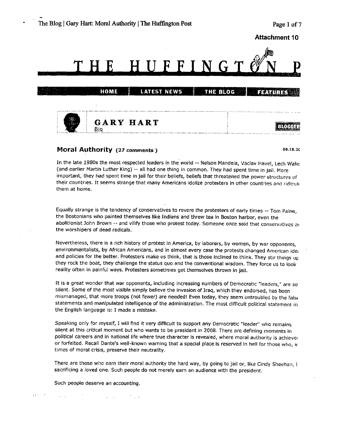**। मा**नस्य प

08.18.20

**Attachment 10** 



**GARY HART** Bio e e construir a comparador de comparador de comparador de comparador de comparador de construções de comparador<br>A comparador de comparador de comparador de comparador de comparador de comparador de comparador de comparador

### Moral Authority (27 comments)

In the late 1980s the most respected leaders in the world -- Nelson Mandela, Vaclav Havel, Lech Wale: (and earlier Martin Luther King) -- all had one thing in common. They had spent time in jail. More important, they had spent time in jail for their beliefs, beliefs that threatened the power structures of their countries. It seems strange that many Americans idolize protesters in other countries and ridicule them at home.

Equally strange is the tendency of conservatives to revere the protesters of early times -- Tom Paine, the Bostonians who painted themselves like Indians and threw tea in Boston harbor, even the abolitionist John Brown -- and vilify those who protest today. Someone once said that conservatives ar the worshipers of dead radicals.

Nevertheless, there is a rich history of protest in America, by laborers, by women, by war opponents, environmentalists, by African Americans, and in almost every case the protests changed American idea and policies for the better. Protesters make us think, that is those inclined to think. They stir things up they rock the boat, they challenge the status quo and the conventional wisdom. They force us to look reality often in painful ways. Protesters sometimes get themselves thrown in jail.

It is a great wonder that war opponents, including increasing numbers of Democratic "leaders," are so silent. Some of the most visible simply believe the invasion of Iraq, which they endorsed, has been mismanaged, that more troops (not fewer) are needed! Even today, they seem untroubled by the false statements and manipulated intelligence of the administration. The most difficult political statement in the English language is: I made a mistake.

Speaking only for myself, I will find it very difficult to support any Democratic "leader" who remains silent at this critical moment but who wants to be president in 2008. There are defining moments in political careers and in national life where true character is revealed, where moral authority is achiever or forfeited. Recall Dante's well-known warning that a special place is reserved in hell for those who, in times of moral crisis, preserve their neutrality.

There are those who earn their moral authority the hard way, by going to jail or, like Cindy Sheehan, I sacrificing a loved one. Such people do not merely earn an audience with the president.

Such people deserve an accounting.

East College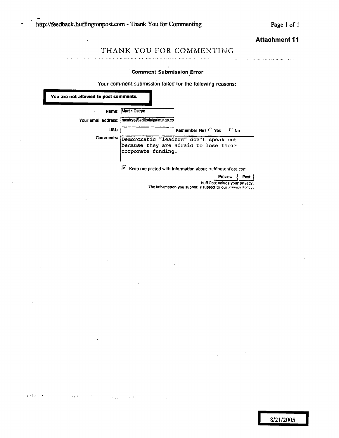$\hat{\mathcal{L}}$ 

# **Attachment 11**

# THANK YOU FOR COMMENTING

a taasanan ayaa aasanaa muunta soo aa san waxaa ah ah iyo dalka ah ah ah ah iyo dadan ah ah ah iyo dadka ah ah

#### **Comment Submission Error**

#### Your comment submission failed for the following reasons:

| You are not allowed to post comments. |                                                     |                                                                                                                |
|---------------------------------------|-----------------------------------------------------|----------------------------------------------------------------------------------------------------------------|
|                                       | Name: Martin Ostrye                                 |                                                                                                                |
|                                       | Your email address:   mostrye@editorialpaintings.co |                                                                                                                |
| URL:                                  |                                                     | Remember Me? C Yes C No                                                                                        |
|                                       |                                                     | Comments: Demorcratic "leaders" don't speak out<br>because they are afraid to lose their<br>corporate funding. |
|                                       |                                                     | Keep me posted with information about HuffingtonPost.com                                                       |

.<br>The concentration of the concentration of the concentration of the concentration of the concentration of the c

Preview Post Huff Post values your privacy.<br>The information you submit is subject to our Frivacy Policy.

 $\bar{\phantom{a}}$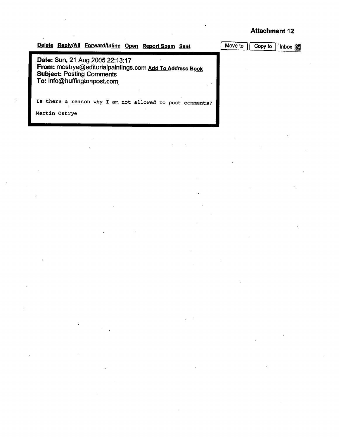| Delete<br>Reply/All Forward/Inline Open Report Spam Sent                                                                                                       | Move to<br>Copy to<br>Inbox (國 |
|----------------------------------------------------------------------------------------------------------------------------------------------------------------|--------------------------------|
| Date: Sun, 21 Aug 2005 22:13:17<br>From: mostrye@editorialpaintings.com Add To Address Book<br><b>Subject: Posting Comments</b><br>To: info@huffingtonpost.com |                                |
| Is there a reason why I am not allowed to post comments?                                                                                                       |                                |
| Martin Ostrye                                                                                                                                                  |                                |